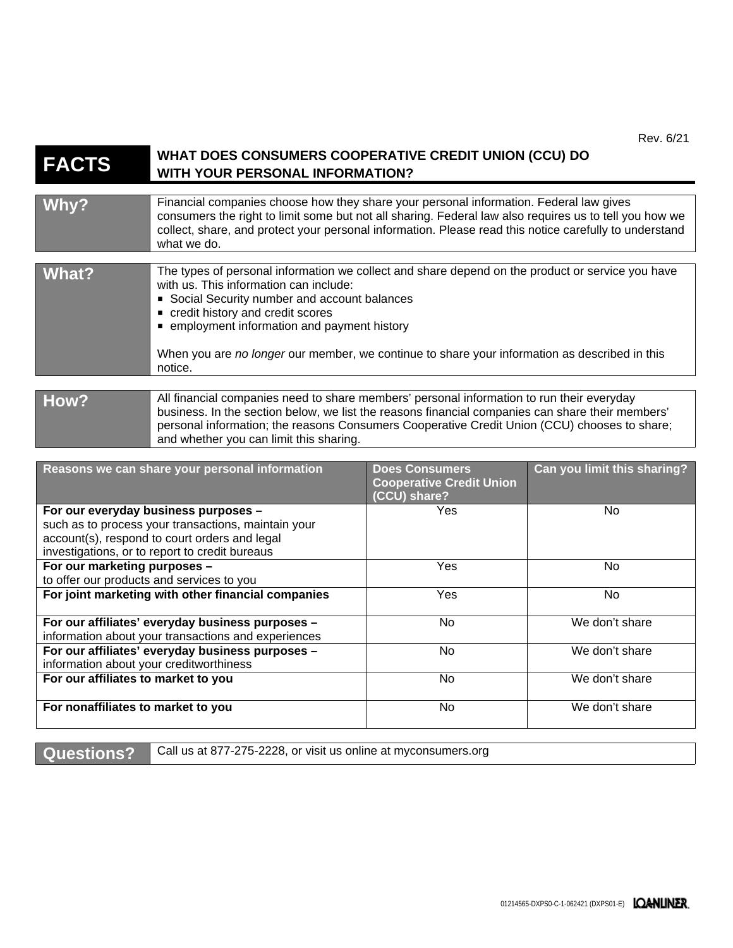Rev. 6/21

| <b>FACTS</b>                                                                                                                                                                                   | WHAT DOES CONSUMERS COOPERATIVE CREDIT UNION (CCU) DO<br><b>WITH YOUR PERSONAL INFORMATION?</b>                                                                                                                                                                                                                                                                                           |                                                                          |                             |
|------------------------------------------------------------------------------------------------------------------------------------------------------------------------------------------------|-------------------------------------------------------------------------------------------------------------------------------------------------------------------------------------------------------------------------------------------------------------------------------------------------------------------------------------------------------------------------------------------|--------------------------------------------------------------------------|-----------------------------|
| Why?                                                                                                                                                                                           | Financial companies choose how they share your personal information. Federal law gives<br>consumers the right to limit some but not all sharing. Federal law also requires us to tell you how we<br>collect, share, and protect your personal information. Please read this notice carefully to understand<br>what we do.                                                                 |                                                                          |                             |
| <b>What?</b>                                                                                                                                                                                   | The types of personal information we collect and share depend on the product or service you have<br>with us. This information can include:<br>Social Security number and account balances<br>credit history and credit scores<br>• employment information and payment history<br>When you are no longer our member, we continue to share your information as described in this<br>notice. |                                                                          |                             |
| How?                                                                                                                                                                                           | All financial companies need to share members' personal information to run their everyday<br>business. In the section below, we list the reasons financial companies can share their members'<br>personal information; the reasons Consumers Cooperative Credit Union (CCU) chooses to share;<br>and whether you can limit this sharing.                                                  |                                                                          |                             |
|                                                                                                                                                                                                | Reasons we can share your personal information                                                                                                                                                                                                                                                                                                                                            | <b>Does Consumers</b><br><b>Cooperative Credit Union</b><br>(CCU) share? | Can you limit this sharing? |
| For our everyday business purposes -<br>such as to process your transactions, maintain your<br>account(s), respond to court orders and legal<br>investigations, or to report to credit bureaus |                                                                                                                                                                                                                                                                                                                                                                                           | Yes                                                                      | No                          |
| For our marketing purposes -<br>to offer our products and services to you                                                                                                                      |                                                                                                                                                                                                                                                                                                                                                                                           | Yes                                                                      | <b>No</b>                   |
| For joint marketing with other financial companies                                                                                                                                             |                                                                                                                                                                                                                                                                                                                                                                                           | Yes                                                                      | <b>No</b>                   |
| For our affiliates' everyday business purposes -<br>information about your transactions and experiences                                                                                        |                                                                                                                                                                                                                                                                                                                                                                                           | No                                                                       | We don't share              |
| For our affiliates' everyday business purposes -<br>information about your creditworthiness                                                                                                    |                                                                                                                                                                                                                                                                                                                                                                                           | No                                                                       | We don't share              |
| For our affiliates to market to you                                                                                                                                                            |                                                                                                                                                                                                                                                                                                                                                                                           | No                                                                       | We don't share              |
| For nonaffiliates to market to you                                                                                                                                                             |                                                                                                                                                                                                                                                                                                                                                                                           | No                                                                       | We don't share              |

**Questions?** Call us at 877-275-2228, or visit us online at myconsumers.org